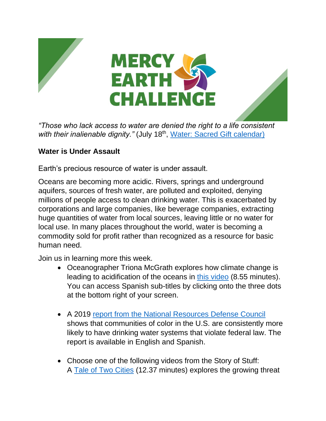



*"Those who lack access to water are denied the right to a life consistent*  with their inalienable dignity." (July 18<sup>th</sup>, [Water: Sacred Gift calendar\)](https://www.sistersofmercy.org/files/images/Justice/Earth/CalendarMEC_English_FINAL-compressed.pdf)

## **Water is Under Assault**

Earth's precious resource of water is under assault.

Oceans are becoming more acidic. Rivers, springs and underground aquifers, sources of fresh water, are polluted and exploited, denying millions of people access to clean drinking water. This is exacerbated by corporations and large companies, like beverage companies, extracting huge quantities of water from local sources, leaving little or no water for local use. In many places throughout the world, water is becoming a commodity sold for profit rather than recognized as a resource for basic human need.

Join us in learning more this week.

- Oceanographer Triona McGrath explores how climate change is leading to acidification of the oceans in [this video](https://www.ted.com/talks/triona_mcgrath_how_pollution_is_changing_the_ocean_s_chemistry) (8.55 minutes). You can access Spanish sub-titles by clicking onto the three dots at the bottom right of your screen.
- A 2019 [report from the National Resources Defense Council](https://www.nrdc.org/media/2019/190924) shows that communities of color in the U.S. are consistently more likely to have drinking water systems that violate federal law. The report is available in English and Spanish.
- Choose one of the following videos from the Story of Stuff: A [Tale of Two Cities](https://www.youtube.com/watch?v=VHs9ZARiTyk) (12.37 minutes) explores the growing threat